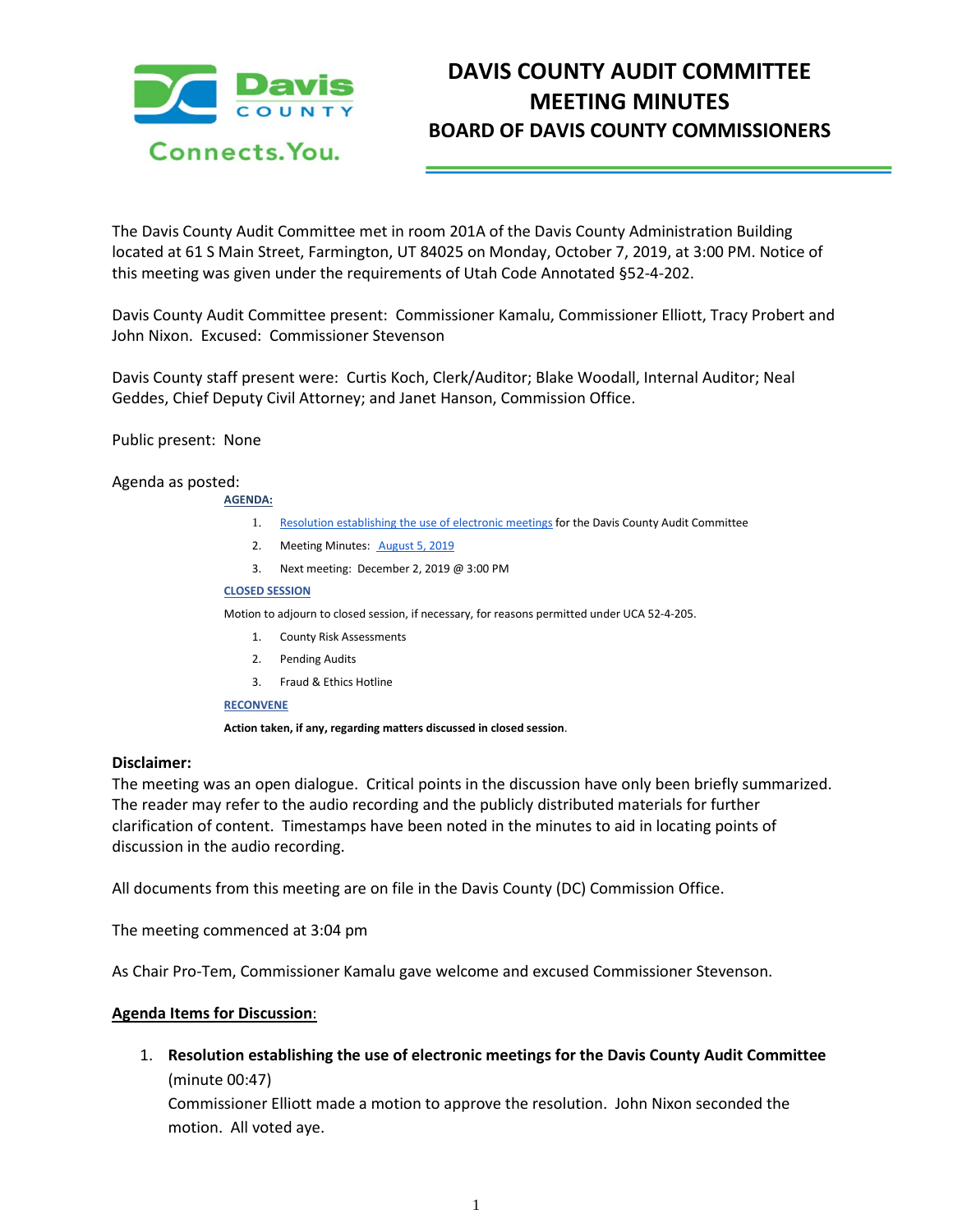

# **DAVIS COUNTY AUDIT COMMITTEE MEETING MINUTES BOARD OF DAVIS COUNTY COMMISSIONERS**

The Davis County Audit Committee met in room 201A of the Davis County Administration Building located at 61 S Main Street, Farmington, UT 84025 on Monday, October 7, 2019, at 3:00 PM. Notice of this meeting was given under the requirements of Utah Code Annotated §52-4-202.

Davis County Audit Committee present: Commissioner Kamalu, Commissioner Elliott, Tracy Probert and John Nixon. Excused: Commissioner Stevenson

Davis County staff present were: Curtis Koch, Clerk/Auditor; Blake Woodall, Internal Auditor; Neal Geddes, Chief Deputy Civil Attorney; and Janet Hanson, Commission Office.

## Public present: None

## Agenda as posted:

**AGENDA:**

- 1. [Resolution establishing the use of electronic meetings](https://drive.google.com/a/co.davis.ut.us/file/d/1TAypgRsglzIDnBSCLCfIBsf6Lf8Nkq7j/view?usp=drivesdk) for the Davis County Audit Committee
- 2. Meeting Minutes: [August 5, 2019](https://drive.google.com/a/co.davis.ut.us/file/d/1_KogamW3XazDIkLFnF-eIdSLpLzL1wnI/view?usp=drivesdk)
- 3. Next meeting: December 2, 2019 @ 3:00 PM

#### **CLOSED SESSION**

Motion to adjourn to closed session, if necessary, for reasons permitted under UCA 52-4-205.

- 1. County Risk Assessments
- 2. Pending Audits
- 3. Fraud & Ethics Hotline

## **RECONVENE**

**Action taken, if any, regarding matters discussed in closed session**.

## **Disclaimer:**

The meeting was an open dialogue. Critical points in the discussion have only been briefly summarized. The reader may refer to the audio recording and the publicly distributed materials for further clarification of content. Timestamps have been noted in the minutes to aid in locating points of discussion in the audio recording.

All documents from this meeting are on file in the Davis County (DC) Commission Office.

The meeting commenced at 3:04 pm

As Chair Pro-Tem, Commissioner Kamalu gave welcome and excused Commissioner Stevenson.

## **Agenda Items for Discussion**:

1. **Resolution establishing the use of electronic meetings for the Davis County Audit Committee** (minute 00:47)

Commissioner Elliott made a motion to approve the resolution. John Nixon seconded the motion. All voted aye.